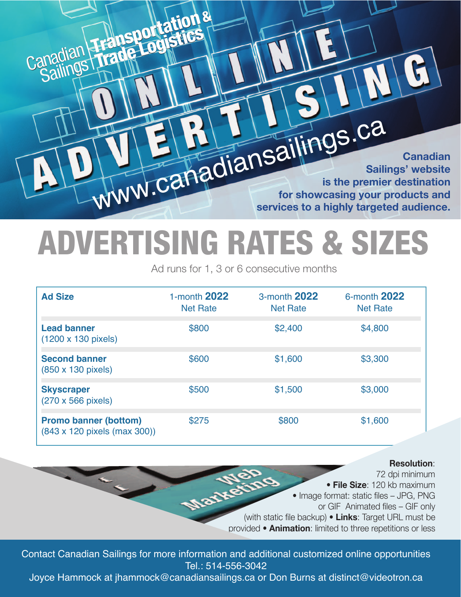**Canadian Sailings' website is the premier destination for showcasing your products and services to a highly targeted audience.**  ww.canadiansailings.ca

## **ADVERTISING RATES & SIZES**

**Canadian** 

Sailings

Sailings

**Transportation&**

**TradeLogistics**

**&**

Canadian Trade **Logistics** 

Ad runs for 1, 3 or 6 consecutive months

| <b>Ad Size</b>                                               | 1-month 2022<br><b>Net Rate</b> | 3-month 2022<br><b>Net Rate</b> | 6-month 2022<br><b>Net Rate</b> |
|--------------------------------------------------------------|---------------------------------|---------------------------------|---------------------------------|
| <b>Lead banner</b><br>(1200 x 130 pixels)                    | \$800                           | \$2,400                         | \$4,800                         |
| <b>Second banner</b><br>(850 x 130 pixels)                   | \$600                           | \$1,600                         | \$3,300                         |
| <b>Skyscraper</b><br>(270 x 566 pixels)                      | \$500                           | \$1,500                         | \$3,000                         |
| <b>Promo banner (bottom)</b><br>(843 x 120 pixels (max 300)) | \$275                           | \$800                           | \$1,600                         |

## **Resolution**:

72 dpi minimum Market • **File Size**: 120 kb maximum • Image format: static files – JPG, PNG or GIF Animated files – GIF only (with static file backup) • **Links**: Target URL must be provided • **Animation**: limited to three repetitions or less

Contact Canadian Sailings for more information and additional customized online opportunities Tel.: 514-556-3042

Joyce Hammock at jhammock@canadiansailings.ca or Don Burns at distinct@videotron.ca